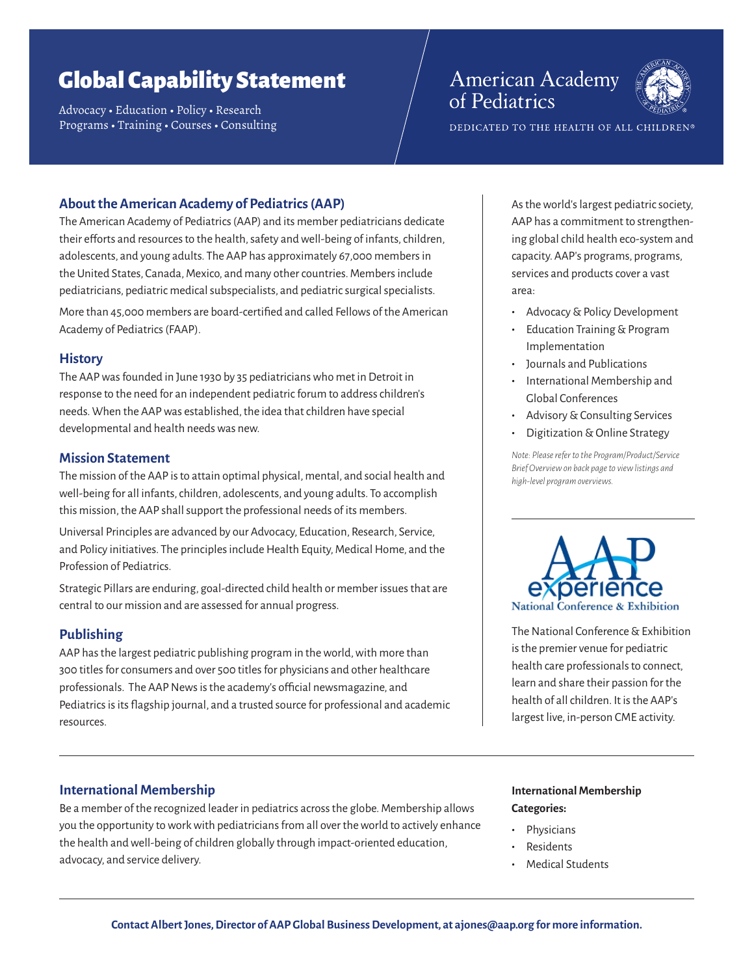# Global Capability Statement

Advocacy • Education • Policy • Research Programs • Training • Courses • Consulting

# **American Academy** of Pediatrics



DEDICATED TO THE HEALTH OF ALL CHILDREN®

# **About the American Academy of Pediatrics (AAP)**

The American Academy of Pediatrics (AAP) and its member pediatricians dedicate their efforts and resources to the health, safety and well-being of infants, children, adolescents, and young adults. The AAP has approximately 67,000 members in the United States, Canada, Mexico, and many other countries. Members include pediatricians, pediatric medical subspecialists, and pediatric surgical specialists.

More than 45,000 members are board-certified and called Fellows of the American Academy of Pediatrics (FAAP).

#### **History**

The AAP was founded in June 1930 by 35 pediatricians who met in Detroit in response to the need for an independent pediatric forum to address children's needs. When the AAP was established, the idea that children have special developmental and health needs was new.

#### **Mission Statement**

The mission of the AAP is to attain optimal physical, mental, and social health and well-being for all infants, children, adolescents, and young adults. To accomplish this mission, the AAP shall support the professional needs of its members.

Universal Principles are advanced by our Advocacy, Education, Research, Service, and Policy initiatives. The principles include Health Equity, Medical Home, and the Profession of Pediatrics.

Strategic Pillars are enduring, goal-directed child health or member issues that are central to our mission and are assessed for annual progress.

# **Publishing**

AAP has the largest pediatric publishing program in the world, with more than 300 titles for consumers and over 500 titles for physicians and other healthcare professionals. The AAP News is the academy's official newsmagazine, and Pediatrics is its flagship journal, and a trusted source for professional and academic resources.

# **International Membership**

Be a member of the recognized leader in pediatrics across the globe. Membership allows you the opportunity to work with pediatricians from all over the world to actively enhance the health and well-being of children globally through impact-oriented education, advocacy, and service delivery.

As the world's largest pediatric society, AAP has a commitment to strengthening global child health eco-system and capacity. AAP's programs, programs, services and products cover a vast area:

- **•** Advocacy & Policy Development
- **•** Education Training & Program Implementation
- **•** Journals and Publications
- **•** International Membership and Global Conferences
- **•** Advisory & Consulting Services
- **•** Digitization & Online Strategy

*Note: Please refer to the Program/Product/Service Brief Overview on back page to view listings and high-level program overviews.* 



The National Conference & Exhibition is the premier venue for pediatric health care professionals to connect, learn and share their passion for the health of all children. It is the AAP's largest live, in-person CME activity.

# **International Membership Categories:**

- **•** Physicians
- **•** Residents
- **•** Medical Students